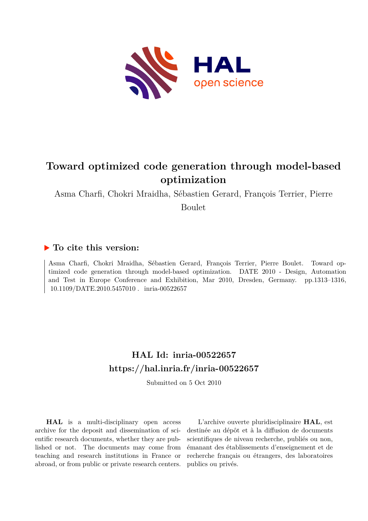

## **Toward optimized code generation through model-based optimization**

Asma Charfi, Chokri Mraidha, Sébastien Gerard, François Terrier, Pierre Boulet

### **To cite this version:**

Asma Charfi, Chokri Mraidha, Sébastien Gerard, François Terrier, Pierre Boulet. Toward optimized code generation through model-based optimization. DATE 2010 - Design, Automation and Test in Europe Conference and Exhibition, Mar 2010, Dresden, Germany. pp.1313–1316, 10.1109/DATE.2010.5457010. inria-00522657

## **HAL Id: inria-00522657 <https://hal.inria.fr/inria-00522657>**

Submitted on 5 Oct 2010

**HAL** is a multi-disciplinary open access archive for the deposit and dissemination of scientific research documents, whether they are published or not. The documents may come from teaching and research institutions in France or abroad, or from public or private research centers.

L'archive ouverte pluridisciplinaire **HAL**, est destinée au dépôt et à la diffusion de documents scientifiques de niveau recherche, publiés ou non, émanant des établissements d'enseignement et de recherche français ou étrangers, des laboratoires publics ou privés.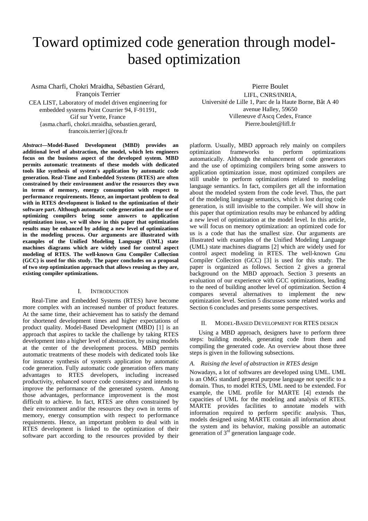# Toward optimized code generation through modelbased optimization

Asma Charfi, Chokri Mraidha, Sébastien Gérard, François Terrier CEA LIST, Laboratory of model driven engineering for embedded systems Point Courrier 94, F-91191, Gif sur Yvette, France {asma.charfi, chokri.mraidha, sebastien.gerard, francois.terrier}@cea.fr

*Abstract***—Model-Based Development (MBD) provides an additional level of abstraction, the model, which lets engineers focus on the business aspect of the developed system. MBD permits automatic treatments of these models with dedicated tools like synthesis of system's application by automatic code generation. Real-Time and Embedded Systems (RTES) are often constrained by their environment and/or the resources they own in terms of memory, energy consumption with respect to performance requirements. Hence, an important problem to deal with in RTES development is linked to the optimization of their software part. Although automatic code generation and the use of optimizing compilers bring some answers to application optimization issue, we will show in this paper that optimization results may be enhanced by adding a new level of optimizations in the modeling process. Our arguments are illustrated with examples of the Unified Modeling Language (UML) state machines diagrams which are widely used for control aspect modeling of RTES. The well-known Gnu Compiler Collection (GCC) is used for this study. The paper concludes on a proposal of two step optimization approach that allows reusing as they are, existing compiler optimizations.** 

#### I. INTRODUCTION

Real-Time and Embedded Systems (RTES) have become more complex with an increased number of product features. At the same time, their achievement has to satisfy the demand for shortened development times and higher expectations of product quality. Model-Based Development (MBD) [1] is an approach that aspires to tackle the challenge by taking RTES development into a higher level of abstraction, by using models at the center of the development process. MBD permits automatic treatments of these models with dedicated tools like for instance synthesis of system's application by automatic code generation. Fully automatic code generation offers many advantages to RTES developers, including increased productivity, enhanced source code consistency and intends to improve the performance of the generated system. Among those advantages, performance improvement is the most difficult to achieve. In fact, RTES are often constrained by their environment and/or the resources they own in terms of memory, energy consumption with respect to performance requirements. Hence, an important problem to deal with in RTES development is linked to the optimization of their software part according to the resources provided by their

Pierre Boulet LIFL, CNRS/INRIA, Université de Lille 1, Parc de la Haute Borne, Bât A 40 avenue Halley, 59650

> Villeneuve d'Ascq Cedex, France Pierre.boulet@lifl.fr

platform. Usually, MBD approach rely mainly on compilers optimization frameworks to perform optimizations automatically. Although the enhancement of code generators and the use of optimizing compilers bring some answers to application optimization issue, most optimized compilers are still unable to perform optimizations related to modeling language semantics. In fact, compilers get all the information about the modeled system from the code level. Thus, the part of the modeling language semantics, which is lost during code generation, is still invisible to the compiler. We will show in this paper that optimization results may be enhanced by adding a new level of optimization at the model level. In this article, we will focus on memory optimization: an optimized code for us is a code that has the smallest size. Our arguments are illustrated with examples of the Unified Modeling Language (UML) state machines diagrams [2] which are widely used for control aspect modeling in RTES. The well-known Gnu Compiler Collection (GCC) [3] is used for this study. The paper is organized as follows. Section 2 gives a general background on the MBD approach. Section 3 presents an evaluation of our experience with GCC optimizations, leading to the need of building another level of optimization. Section 4 compares several alternatives to implement the new optimization level. Section 5 discusses some related works and Section 6 concludes and presents some perspectives.

#### II. MODEL-BASED DEVELOPMENT FOR RTES DESIGN

Using a MBD approach, designers have to perform three steps: building models, generating code from them and compiling the generated code. An overview about those three steps is given in the following subsections.

#### *A. Raising the level of abstraction in RTES design*

Nowadays, a lot of softwares are developed using UML. UML is an OMG standard general purpose language not specific to a domain. Thus, to model RTES, UML need to be extended. For example, the UML profile for MARTE [4] extends the capacities of UML for the modeling and analysis of RTES. MARTE provides facilities to annotate models with information required to perform specific analysis. Thus, models designed using MARTE contain all information about the system and its behavior, making possible an automatic generation of  $3<sup>rd</sup>$  generation language code.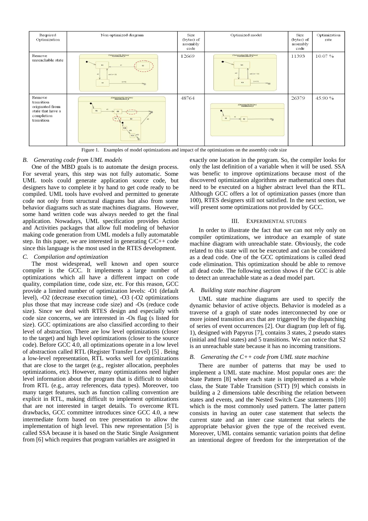

Figure 1. Examples of model optimizations and impact of the optimizations on the assembly code size

#### *B. Generating code from UML models*

One of the MBD goals is to automate the design process. For several years, this step was not fully automatic. Some UML tools could generate application source code, but designers have to complete it by hand to get code ready to be compiled. UML tools have evolved and permitted to generate code not only from structural diagrams but also from some behavior diagrams such as state machines diagrams. However, some hand written code was always needed to get the final application. Nowadays, UML specification provides Action and Activities packages that allow full modeling of behavior making code generation from UML models a fully automatable step. In this paper, we are interested in generating C/C++ code since this language is the most used in the RTES development.

#### *C. Compilation and optimization*

The most widespread, well known and open source compiler is the GCC. It implements a large number of optimizations which all have a different impact on code quality, compilation time, code size, etc. For this reason, GCC provide a limited number of optimization levels: -O1 (default level), -O2 (decrease execution time), -O3 (-O2 optimizations plus those that may increase code size) and -Os (reduce code size). Since we deal with RTES design and especially with code size concerns, we are interested in -Os flag (s listed for size). GCC optimizations are also classified according to their level of abstraction. There are low level optimizations (closer to the target) and high level optimizations (closer to the source code). Before GCC 4.0, all optimizations operate in a low level of abstraction called RTL (Register Transfer Level) [5] . Being a low-level representation, RTL works well for optimizations that are close to the target (e.g., register allocation, peepholes optimizations, etc). However, many optimizations need higher level information about the program that is difficult to obtain from RTL (e.g., array references, data types). Moreover, too many target features, such as function calling convention are explicit in RTL, making difficult to implement optimizations that are not interested in target details. To overcome RTL drawbacks, GCC committee introduces since GCC 4.0, a new intermediate form based on tree presentation to allow the implementation of high level. This new representation [5] is called SSA because it is based on the Static Single Assignment from [6] which requires that program variables are assigned in

exactly one location in the program. So, the compiler looks for only the last definition of a variable when it will be used. SSA was benefic to improve optimizations because most of the discovered optimization algorithms are mathematical ones that need to be executed on a higher abstract level than the RTL. Although GCC offers a lot of optimization passes (more than 100), RTES designers still not satisfied. In the next section, we will present some optimizations not provided by GCC.

#### III. EXPERIMENTAL STUDIES

In order to illustrate the fact that we can not rely only on compiler optimizations, we introduce an example of state machine diagram with unreachable state. Obviously, the code related to this state will not be executed and can be considered as a dead code. One of the GCC optimizations is called dead code elimination. This optimization should be able to remove all dead code. The following section shows if the GCC is able to detect an unreachable state as a dead model part.

#### *A. Building state machine diagram*

UML state machine diagrams are used to specify the dynamic behavior of active objects. Behavior is modeled as a traverse of a graph of state nodes interconnected by one or more joined transition arcs that are triggered by the dispatching of series of event occurrences [2]. Our diagram (top left of fig. 1), designed with Papyrus [7], contains 3 states, 2 pseudo states (initial and final states) and 5 transitions. We can notice that S2 is an unreachable state because it has no incoming transitions.

#### *B. Generating the C++ code from UML state machine*

There are number of patterns that may be used to implement a UML state machine. Most popular ones are: the State Pattern [8] where each state is implemented as a whole class, the State Table Transition (STT) [9] which consists in building a 2 dimensions table describing the relation between states and events, and the Nested Switch Case statements [10] which is the most commonly used pattern. The latter pattern consists in having an outer case statement that selects the current state and an inner case statement that selects the appropriate behavior given the type of the received event. Moreover, UML contains semantic variation points that define an intentional degree of freedom for the interpretation of the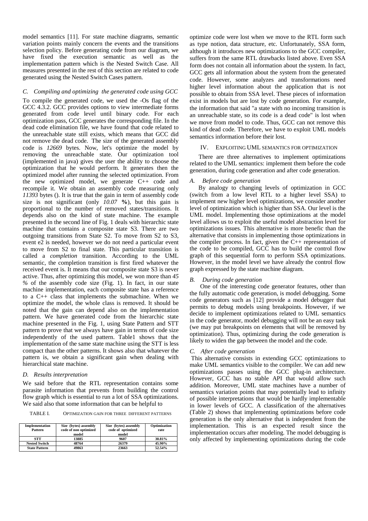model semantics [11]. For state machine diagrams, semantic variation points mainly concern the events and the transitions selection policy. Before generating code from our diagram, we have fixed the execution semantic as well as the implementation pattern which is the Nested Switch Case. All measures presented in the rest of this section are related to code generated using the Nested Switch Cases pattern.

#### *C. Compiling and optimizing the generated code using GCC*

To compile the generated code, we used the -Os flag of the GCC 4.3.2. GCC provides options to view intermediate forms generated from code level until binary code. For each optimization pass, GCC generates the corresponding file. In the dead code elimination file, we have found that code related to the unreachable state still exists, which means that GCC did not remove the dead code. The size of the generated assembly code is *12669* bytes. Now, let's optimize the model by removing the unreachable state. Our optimization tool (implemented in java) gives the user the ability to choose the optimization that he would perform. It generates then the optimized model after running the selected optimization. From the new optimized model, we generate C++ code and recompile it. We obtain an assembly code measuring only *11393* bytes (). It is true that the gain in term of assembly code size is not significant (only *10.07* **%**), but this gain is proportional to the number of removed states/transitions. It depends also on the kind of state machine. The example presented in the second line of Fig. 1 deals with hierarchic state machine that contains a composite state S3. There are two outgoing transitions from State S2. To move from S2 to S3, event e2 is needed, however we do not need a particular event to move from S2 to final state. This particular transition is called a *completion* transition. According to the UML semantic, the completion transition is first fired whatever the received event is. It means that our composite state S3 is never active. Thus, after optimizing this model, we won more than *45 %* of the assembly code size (Fig. 1). In fact, in our state machine implementation, each composite state has a reference to a C++ class that implements the submachine. When we optimize the model, the whole class is removed. It should be noted that the gain can depend also on the implementation pattern. We have generated code from the hierarchic state machine presented in the Fig. 1, using State Pattern and STT pattern to prove that we always have gain in terms of code size independently of the used pattern. Table1 shows that the implementation of the same state machine using the STT is less compact than the other patterns. It shows also that whatever the pattern is, we obtain a significant gain when dealing with hierarchical state machine.

#### *D. Results interpretation*

We said before that the RTL representation contains some parasite information that prevents from building the control flow graph which is essential to run a lot of SSA optimizations. We said also that some information that can be helpful to

TABLE I. OPTIMIZATION GAIN FOR THREE DIFFERENT PATTERNS

| Implementation       | Size (bytes) assembly | Size (bytes) assembly | Optimization |
|----------------------|-----------------------|-----------------------|--------------|
| <b>Pattern</b>       | code of non optimized | code of optimized     | rate         |
|                      | model                 | model                 |              |
| STT                  | 13885                 | 9607                  | 30.81%       |
| <b>Nested Switch</b> | 48764                 | 26379                 | 45.90%       |
| <b>State Pattern</b> | 49863                 | 23663                 | 52.54%       |

optimize code were lost when we move to the RTL form such as type notion, data structure, etc. Unfortunately, SSA form, although it introduces new optimizations to the GCC compiler, suffers from the same RTL drawbacks listed above. Even SSA form does not contain all information about the system. In fact, GCC gets all information about the system from the generated code. However, some analyzes and transformations need higher level information about the application that is not possible to obtain from SSA level. These pieces of information exist in models but are lost by code generation. For example, the information that said "a state with no incoming transition is an unreachable state, so its code is a dead code" is lost when we move from model to code. Thus, GCC can not remove this kind of dead code. Therefore, we have to exploit UML models semantics information before their lost.

#### IV. EXPLOITING UML SEMANTICS FOR OPTIMIZATION

There are three alternatives to implement optimizations related to the UML semantics: implement them before the code generation, during code generation and after code generation.

#### *A. Before code generation*

By analogy to changing levels of optimization in GCC (switch from a low level RTL to a higher level SSA) to implement new higher level optimizations, we consider another level of optimization which is higher than SSA. Our level is the UML model. Implementing those optimizations at the model level allows us to exploit the useful model abstraction level for optimizations issues. This alternative is more benefic than the alternative that consists in implementing those optimizations in the compiler process. In fact, given the C++ representation of the code to be compiled, GCC has to build the control flow graph of this sequential form to perform SSA optimizations. However, in the model level we have already the control flow graph expressed by the state machine diagram.

#### *B. During code generation*

 One of the interesting code generator features, other than the fully automatic code generation, is model debugging. Some code generators such as [12] provide a model debugger that permits to debug models using breakpoints. However, if we decide to implement optimizations related to UML semantics in the code generator, model debugging will not be an easy task (we may put breakpoints on elements that will be removed by optimization). Thus, optimizing during the code generation is likely to widen the gap between the model and the code.

#### *C. After code generation*

 This alternative consists in extending GCC optimizations to make UML semantics visible to the compiler. We can add new optimizations passes using the GCC plug-in architecture. However, GCC has no stable API that would allow such addition. Moreover, UML state machines have a number of semantics variation points that may potentially lead to infinity of possible interpretations that would be hardly implementable in lower levels of GCC. A classification of the alternatives (Table 2) shows that implementing optimizations before code generation is the only alternative that is independent from the implementation. This is an expected result since the implementation occurs after modeling. The model debugging is only affected by implementing optimizations during the code